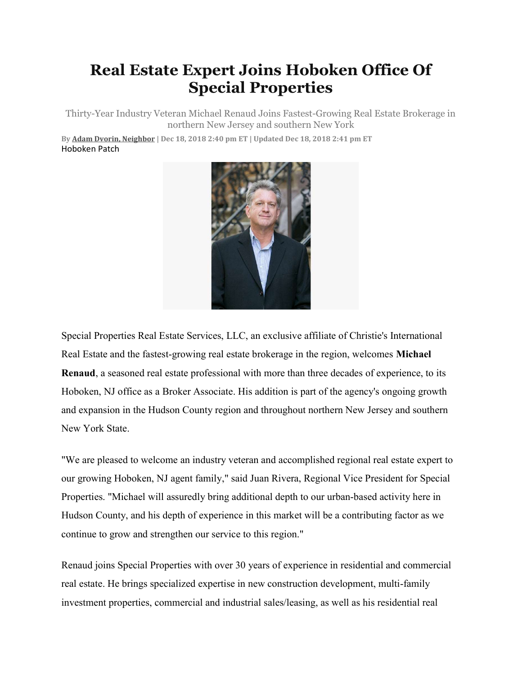## Real Estate Expert Joins Hoboken Office Of Special Properties

Thirty-Year Industry Veteran Michael Renaud Joins Fastest-Growing Real Estate Brokerage in northern New Jersey and southern New York

By Adam Dvorin, Neighbor | Dec 18, 2018 2:40 pm ET | Updated Dec 18, 2018 2:41 pm ET Hoboken Patch



Special Properties Real Estate Services, LLC, an exclusive affiliate of Christie's International Real Estate and the fastest-growing real estate brokerage in the region, welcomes Michael Renaud, a seasoned real estate professional with more than three decades of experience, to its Hoboken, NJ office as a Broker Associate. His addition is part of the agency's ongoing growth and expansion in the Hudson County region and throughout northern New Jersey and southern New York State.

"We are pleased to welcome an industry veteran and accomplished regional real estate expert to our growing Hoboken, NJ agent family," said Juan Rivera, Regional Vice President for Special Properties. "Michael will assuredly bring additional depth to our urban-based activity here in Hudson County, and his depth of experience in this market will be a contributing factor as we continue to grow and strengthen our service to this region."

Renaud joins Special Properties with over 30 years of experience in residential and commercial real estate. He brings specialized expertise in new construction development, multi-family investment properties, commercial and industrial sales/leasing, as well as his residential real